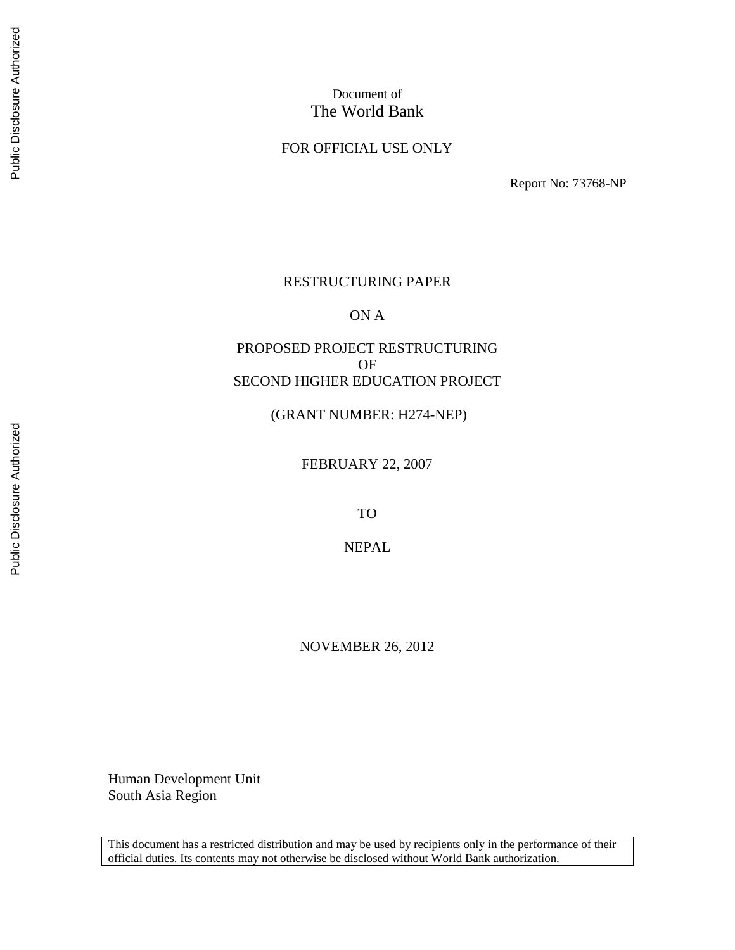# Document of The World Bank

## FOR OFFICIAL USE ONLY

Report No: 73768-NP

## RESTRUCTURING PAPER

ON A

# PROPOSED PROJECT RESTRUCTURING OF SECOND HIGHER EDUCATION PROJECT

(GRANT NUMBER: H274-NEP)

FEBRUARY 22, 2007

TO

NEPAL

NOVEMBER 26, 2012

Human Development Unit South Asia Region

This document has a restricted distribution and may be used by recipients only in the performance of their official duties. Its contents may not otherwise be disclosed without World Bank authorization.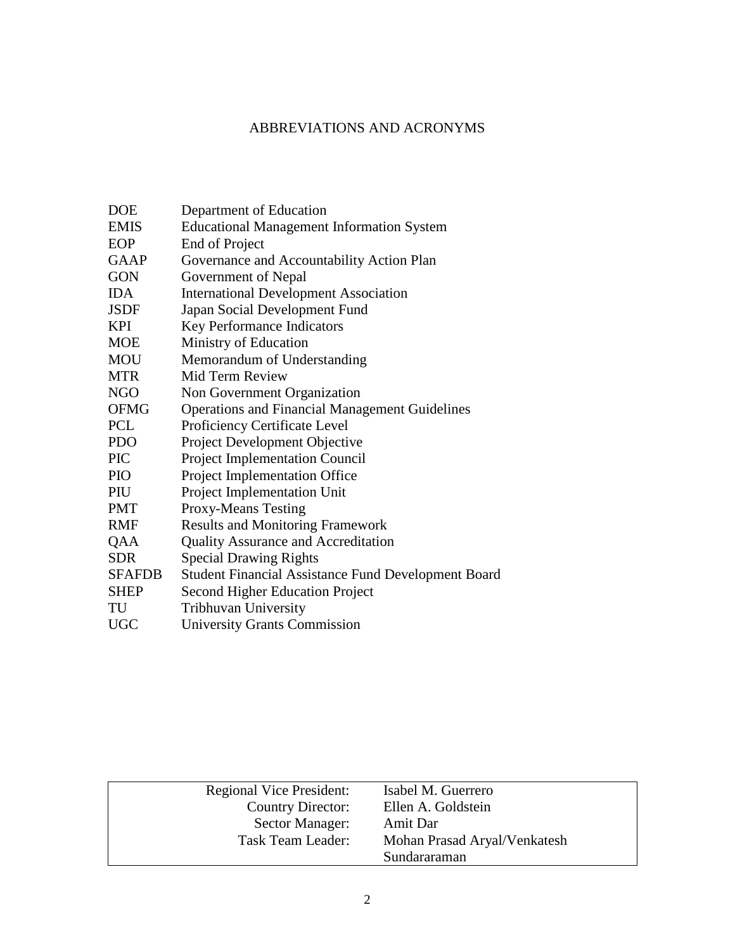# ABBREVIATIONS AND ACRONYMS

| <b>DOE</b>    | Department of Education                               |
|---------------|-------------------------------------------------------|
| <b>EMIS</b>   | <b>Educational Management Information System</b>      |
| EOP           | End of Project                                        |
| <b>GAAP</b>   | Governance and Accountability Action Plan             |
| <b>GON</b>    | Government of Nepal                                   |
| <b>IDA</b>    | <b>International Development Association</b>          |
| <b>JSDF</b>   | Japan Social Development Fund                         |
| <b>KPI</b>    | Key Performance Indicators                            |
| <b>MOE</b>    | Ministry of Education                                 |
| <b>MOU</b>    | Memorandum of Understanding                           |
| <b>MTR</b>    | Mid Term Review                                       |
| <b>NGO</b>    | Non Government Organization                           |
| <b>OFMG</b>   | <b>Operations and Financial Management Guidelines</b> |
| <b>PCL</b>    | Proficiency Certificate Level                         |
| <b>PDO</b>    | Project Development Objective                         |
| <b>PIC</b>    | <b>Project Implementation Council</b>                 |
| <b>PIO</b>    | Project Implementation Office                         |
| PIU           | Project Implementation Unit                           |
| <b>PMT</b>    | <b>Proxy-Means Testing</b>                            |
| <b>RMF</b>    | <b>Results and Monitoring Framework</b>               |
| QAA           | <b>Quality Assurance and Accreditation</b>            |
| <b>SDR</b>    | <b>Special Drawing Rights</b>                         |
| <b>SFAFDB</b> | Student Financial Assistance Fund Development Board   |
| <b>SHEP</b>   | <b>Second Higher Education Project</b>                |
| TU            | <b>Tribhuvan University</b>                           |
| <b>UGC</b>    | <b>University Grants Commission</b>                   |

|                                 | Sundararaman                 |
|---------------------------------|------------------------------|
| Task Team Leader:               | Mohan Prasad Aryal/Venkatesh |
| Sector Manager:                 | Amit Dar                     |
| Country Director:               | Ellen A. Goldstein           |
| <b>Regional Vice President:</b> | Isabel M. Guerrero           |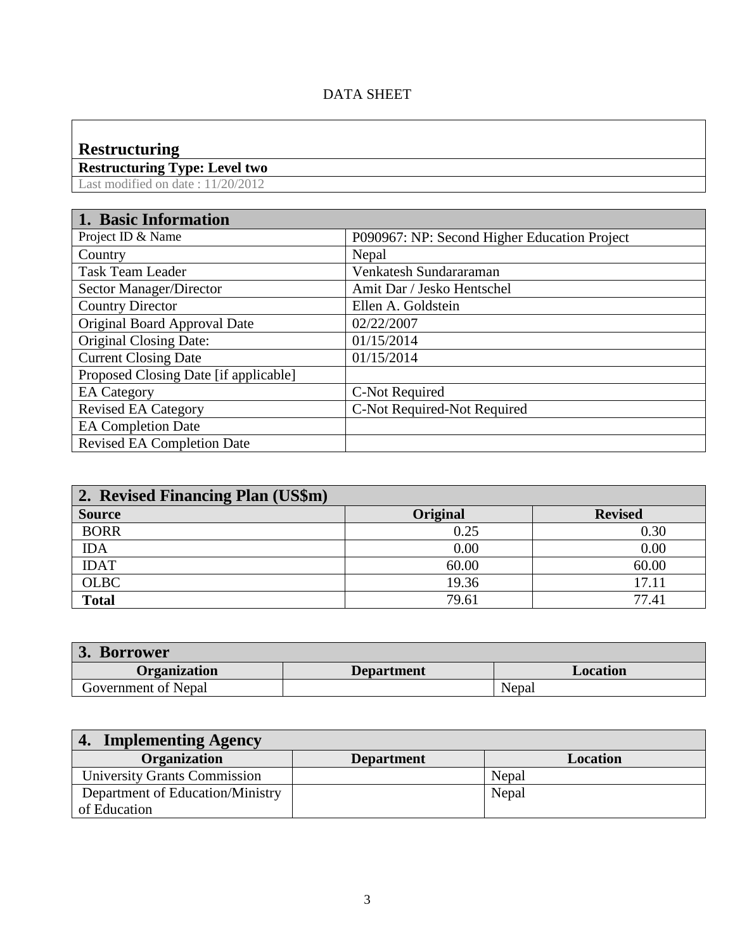# DATA SHEET

# **Restructuring**

**Restructuring Type: Level two**

Last modified on date : 11/20/2012

| 1. Basic Information                  |                                              |
|---------------------------------------|----------------------------------------------|
| Project ID & Name                     | P090967: NP: Second Higher Education Project |
| Country                               | Nepal                                        |
| <b>Task Team Leader</b>               | Venkatesh Sundararaman                       |
| Sector Manager/Director               | Amit Dar / Jesko Hentschel                   |
| <b>Country Director</b>               | Ellen A. Goldstein                           |
| Original Board Approval Date          | 02/22/2007                                   |
| <b>Original Closing Date:</b>         | 01/15/2014                                   |
| <b>Current Closing Date</b>           | 01/15/2014                                   |
| Proposed Closing Date [if applicable] |                                              |
| <b>EA</b> Category                    | C-Not Required                               |
| <b>Revised EA Category</b>            | C-Not Required-Not Required                  |
| <b>EA Completion Date</b>             |                                              |
| <b>Revised EA Completion Date</b>     |                                              |

| 2. Revised Financing Plan (US\$m) |          |                |
|-----------------------------------|----------|----------------|
| <b>Source</b>                     | Original | <b>Revised</b> |
| <b>BORR</b>                       | 0.25     | 0.30           |
| <b>IDA</b>                        | 0.00     | 0.00           |
| <b>IDAT</b>                       | 60.00    | 60.00          |
| <b>OLBC</b>                       | 19.36    | 17.11          |
| <b>Total</b>                      | 79.61    | 77.41          |

| <b>Borrower</b><br>$J_{\bullet}$ |                   |          |  |  |  |  |
|----------------------------------|-------------------|----------|--|--|--|--|
| <b>Organization</b>              | <b>Department</b> | Location |  |  |  |  |
| Government of Nepal              |                   | Nepal    |  |  |  |  |

| <b>Implementing Agency</b>          |                   |          |  |  |  |
|-------------------------------------|-------------------|----------|--|--|--|
| Organization                        | <b>Department</b> | Location |  |  |  |
| <b>University Grants Commission</b> |                   | Nepal    |  |  |  |
| Department of Education/Ministry    |                   | Nepal    |  |  |  |
| of Education                        |                   |          |  |  |  |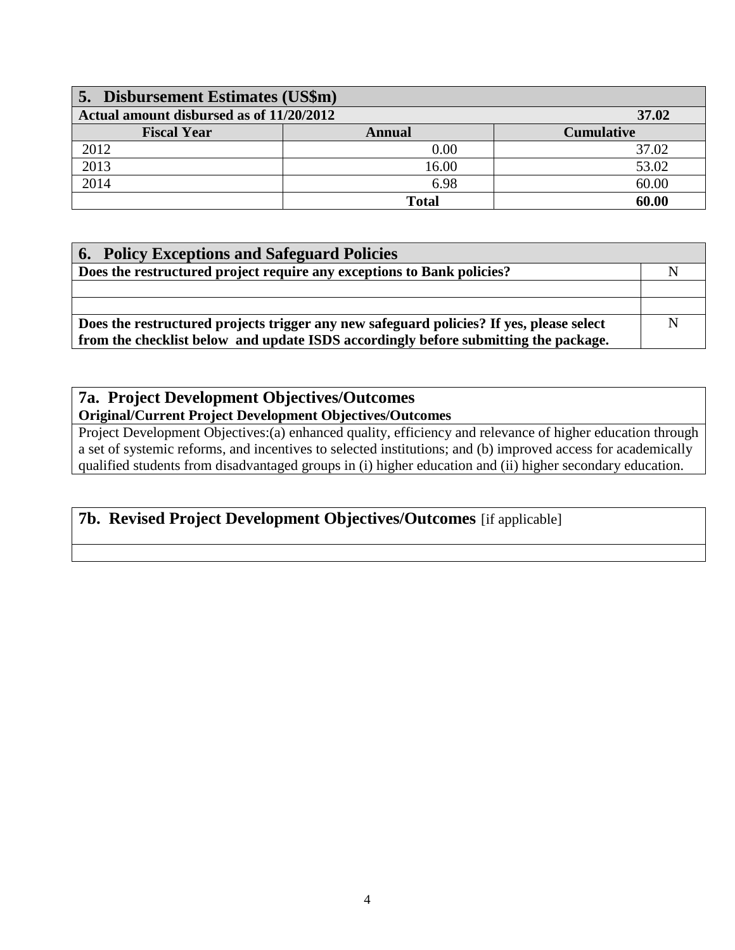| 5. Disbursement Estimates (US\$m)                 |              |                   |  |  |  |  |
|---------------------------------------------------|--------------|-------------------|--|--|--|--|
| Actual amount disbursed as of 11/20/2012<br>37.02 |              |                   |  |  |  |  |
| <b>Fiscal Year</b>                                | Annual       | <b>Cumulative</b> |  |  |  |  |
| 2012                                              | 0.00         | 37.02             |  |  |  |  |
| 2013                                              | 16.00        | 53.02             |  |  |  |  |
| 2014                                              | 6.98         | 60.00             |  |  |  |  |
|                                                   | <b>Total</b> | 60.00             |  |  |  |  |

| <b>6. Policy Exceptions and Safeguard Policies</b>                                       |             |
|------------------------------------------------------------------------------------------|-------------|
| Does the restructured project require any exceptions to Bank policies?                   |             |
|                                                                                          |             |
|                                                                                          |             |
| Does the restructured projects trigger any new safeguard policies? If yes, please select | $\mathbf N$ |
| from the checklist below and update ISDS accordingly before submitting the package.      |             |

# **7a. Project Development Objectives/Outcomes Original/Current Project Development Objectives/Outcomes**

Project Development Objectives:(a) enhanced quality, efficiency and relevance of higher education through a set of systemic reforms, and incentives to selected institutions; and (b) improved access for academically qualified students from disadvantaged groups in (i) higher education and (ii) higher secondary education.

# **7b. Revised Project Development Objectives/Outcomes** [if applicable]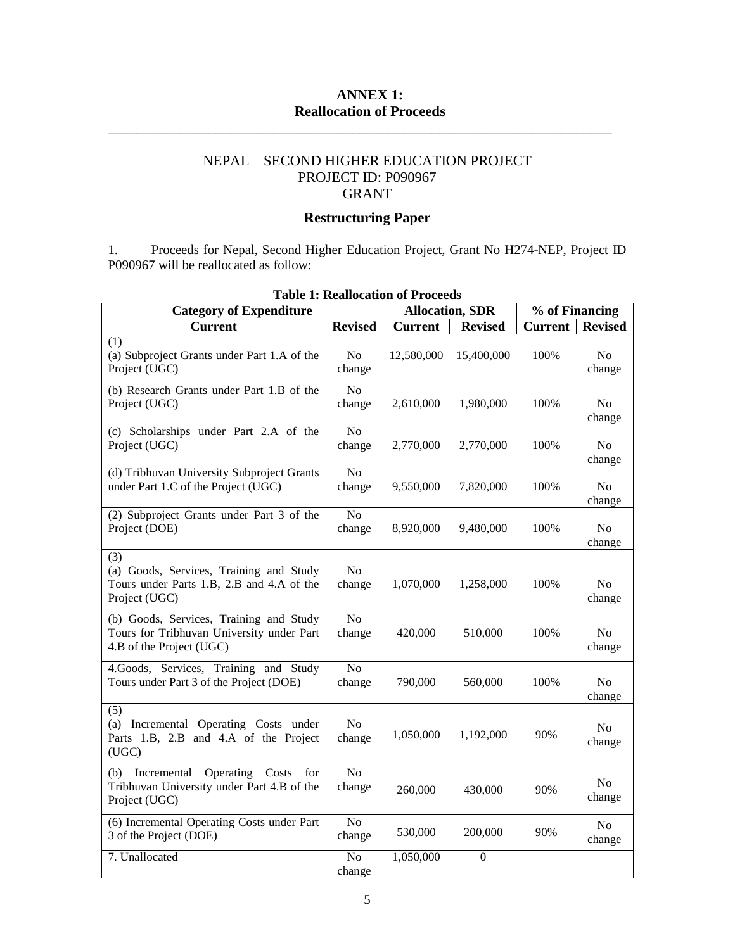# **ANNEX 1: Reallocation of Proceeds**

\_\_\_\_\_\_\_\_\_\_\_\_\_\_\_\_\_\_\_\_\_\_\_\_\_\_\_\_\_\_\_\_\_\_\_\_\_\_\_\_\_\_\_\_\_\_\_\_\_\_\_\_\_\_\_\_\_\_\_\_\_\_\_\_\_\_\_\_\_\_

# NEPAL – SECOND HIGHER EDUCATION PROJECT PROJECT ID: P090967 GRANT

# **Restructuring Paper**

1. Proceeds for Nepal, Second Higher Education Project, Grant No H274-NEP, Project ID P090967 will be reallocated as follow:

| <b>Category of Expenditure</b>                                                                                   | <b>Allocation, SDR</b>   |                | % of Financing |                |                          |
|------------------------------------------------------------------------------------------------------------------|--------------------------|----------------|----------------|----------------|--------------------------|
| <b>Current</b>                                                                                                   | <b>Revised</b>           | <b>Current</b> | <b>Revised</b> | <b>Current</b> | <b>Revised</b>           |
| (1)<br>(a) Subproject Grants under Part 1.A of the<br>Project (UGC)                                              | No<br>change             | 12,580,000     | 15,400,000     | 100%           | No<br>change             |
| (b) Research Grants under Part 1.B of the<br>Project (UGC)                                                       | N <sub>0</sub><br>change | 2,610,000      | 1,980,000      | 100%           | No.<br>change            |
| (c) Scholarships under Part 2.A of the<br>Project (UGC)                                                          | N <sub>o</sub><br>change | 2,770,000      | 2,770,000      | 100%           | N <sub>o</sub><br>change |
| (d) Tribhuvan University Subproject Grants<br>under Part 1.C of the Project (UGC)                                | N <sub>0</sub><br>change | 9,550,000      | 7,820,000      | 100%           | No<br>change             |
| (2) Subproject Grants under Part 3 of the<br>Project (DOE)                                                       | N <sub>o</sub><br>change | 8,920,000      | 9,480,000      | 100%           | N <sub>0</sub><br>change |
| (3)<br>(a) Goods, Services, Training and Study<br>Tours under Parts 1.B, 2.B and 4.A of the<br>Project (UGC)     | N <sub>o</sub><br>change | 1,070,000      | 1,258,000      | 100%           | N <sub>o</sub><br>change |
| (b) Goods, Services, Training and Study<br>Tours for Tribhuvan University under Part<br>4.B of the Project (UGC) | N <sub>0</sub><br>change | 420,000        | 510,000        | 100%           | No.<br>change            |
| 4.Goods, Services, Training and Study<br>Tours under Part 3 of the Project (DOE)                                 | No<br>change             | 790,000        | 560,000        | 100%           | No<br>change             |
| (5)<br>(a) Incremental Operating Costs under<br>Parts 1.B, 2.B and 4.A of the Project<br>(UGC)                   | No<br>change             | 1,050,000      | 1,192,000      | 90%            | No<br>change             |
| Incremental Operating Costs<br>(b)<br>for<br>Tribhuvan University under Part 4.B of the<br>Project (UGC)         | N <sub>o</sub><br>change | 260,000        | 430,000        | 90%            | N <sub>0</sub><br>change |
| (6) Incremental Operating Costs under Part<br>3 of the Project (DOE)                                             | No<br>change             | 530,000        | 200,000        | 90%            | N <sub>o</sub><br>change |
| 7. Unallocated                                                                                                   | N <sub>o</sub><br>change | 1,050,000      | $\mathbf{0}$   |                |                          |

# **Table 1: Reallocation of Proceeds**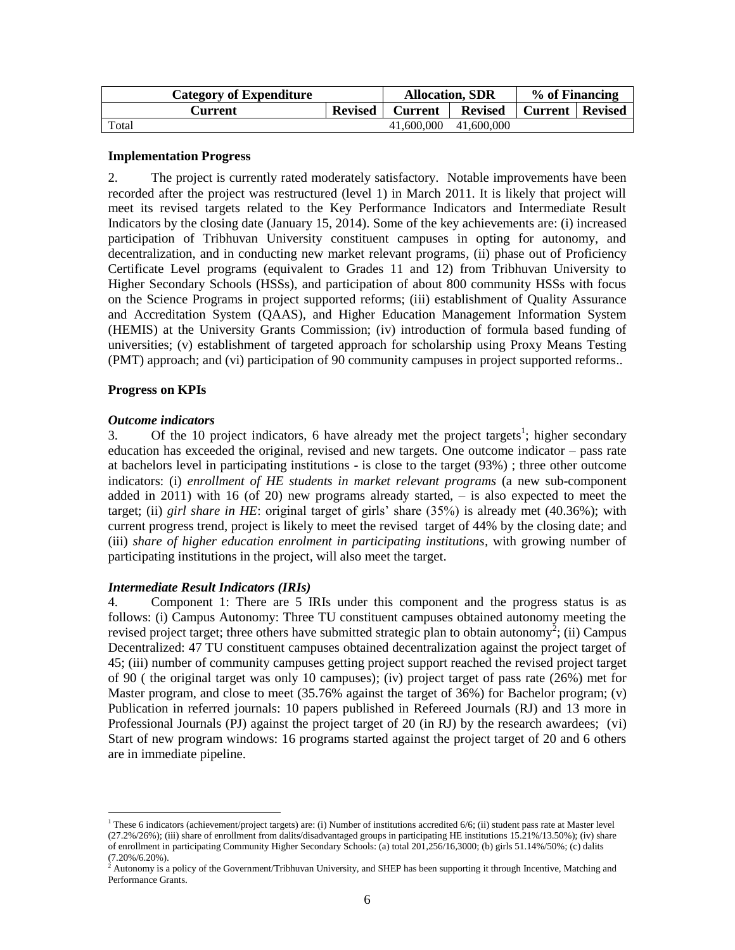| <b>Category of Expenditure</b> |  | <b>Allocation, SDR</b> |                | % of Financing           |  |
|--------------------------------|--|------------------------|----------------|--------------------------|--|
| <b>Revised</b><br>Current      |  | <b>Current</b>         | <b>Revised</b> | <b>Current   Revised</b> |  |
| Total                          |  | 41,600,000             | 41,600,000     |                          |  |

#### **Implementation Progress**

2. The project is currently rated moderately satisfactory. Notable improvements have been recorded after the project was restructured (level 1) in March 2011. It is likely that project will meet its revised targets related to the Key Performance Indicators and Intermediate Result Indicators by the closing date (January 15, 2014). Some of the key achievements are: (i) increased participation of Tribhuvan University constituent campuses in opting for autonomy, and decentralization, and in conducting new market relevant programs, (ii) phase out of Proficiency Certificate Level programs (equivalent to Grades 11 and 12) from Tribhuvan University to Higher Secondary Schools (HSSs), and participation of about 800 community HSSs with focus on the Science Programs in project supported reforms; (iii) establishment of Quality Assurance and Accreditation System (QAAS), and Higher Education Management Information System (HEMIS) at the University Grants Commission; (iv) introduction of formula based funding of universities; (v) establishment of targeted approach for scholarship using Proxy Means Testing (PMT) approach; and (vi) participation of 90 community campuses in project supported reforms..

## **Progress on KPIs**

#### *Outcome indicators*

 $\overline{a}$ 

3. Of the 10 project indicators, 6 have already met the project targets<sup>1</sup>; higher secondary education has exceeded the original, revised and new targets. One outcome indicator – pass rate at bachelors level in participating institutions - is close to the target (93%) ; three other outcome indicators: (i) *enrollment of HE students in market relevant programs* (a new sub-component added in 2011) with 16 (of 20) new programs already started, – is also expected to meet the target; (ii) *girl share in HE*: original target of girls' share (35%) is already met (40.36%); with current progress trend, project is likely to meet the revised target of 44% by the closing date; and (iii) *share of higher education enrolment in participating institutions,* with growing number of participating institutions in the project, will also meet the target.

## *Intermediate Result Indicators (IRIs)*

4. Component 1: There are 5 IRIs under this component and the progress status is as follows: (i) Campus Autonomy: Three TU constituent campuses obtained autonomy meeting the revised project target; three others have submitted strategic plan to obtain autonomy<sup>2</sup>; (ii) Campus Decentralized: 47 TU constituent campuses obtained decentralization against the project target of 45; (iii) number of community campuses getting project support reached the revised project target of 90 ( the original target was only 10 campuses); (iv) project target of pass rate (26%) met for Master program, and close to meet (35.76% against the target of 36%) for Bachelor program; (v) Publication in referred journals: 10 papers published in Refereed Journals (RJ) and 13 more in Professional Journals (PJ) against the project target of 20 (in RJ) by the research awardees; (vi) Start of new program windows: 16 programs started against the project target of 20 and 6 others are in immediate pipeline.

<sup>1</sup> These 6 indicators (achievement/project targets) are: (i) Number of institutions accredited 6/6; (ii) student pass rate at Master level (27.2%/26%); (iii) share of enrollment from dalits/disadvantaged groups in participating HE institutions 15.21%/13.50%); (iv) share of enrollment in participating Community Higher Secondary Schools: (a) total 201,256/16,3000; (b) girls 51.14%/50%; (c) dalits (7.20%/6.20%).

<sup>&</sup>lt;sup>2</sup> Autonomy is a policy of the Government/Tribhuvan University, and SHEP has been supporting it through Incentive, Matching and Performance Grants.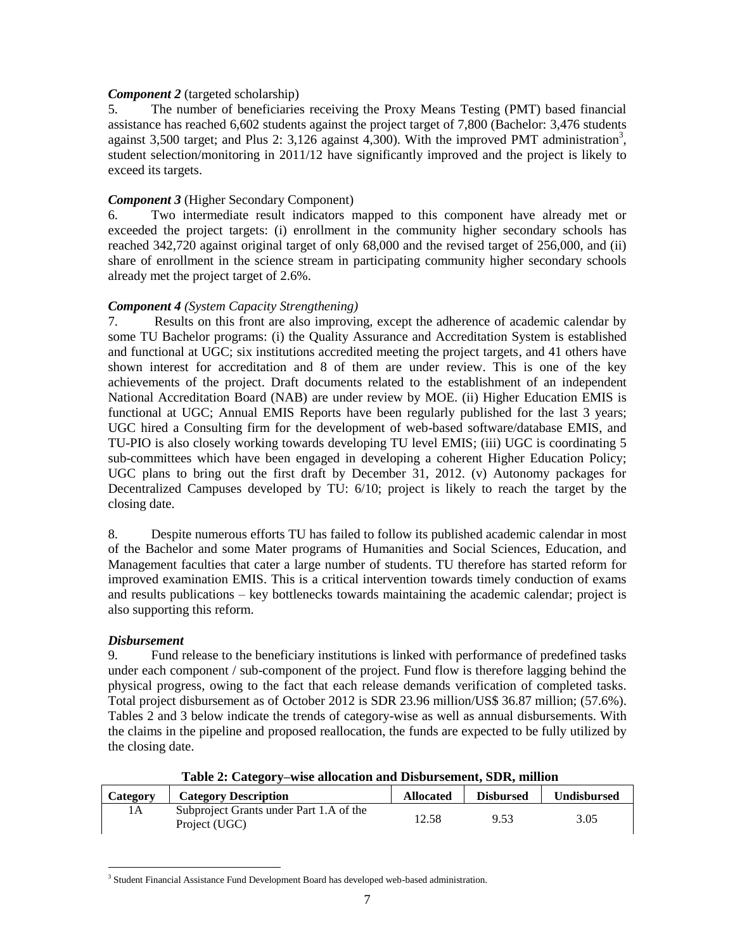## *Component 2* (targeted scholarship)

5. The number of beneficiaries receiving the Proxy Means Testing (PMT) based financial assistance has reached 6,602 students against the project target of 7,800 (Bachelor: 3,476 students against 3,500 target; and Plus 2: 3,126 against 4,300). With the improved PMT administration<sup>3</sup>, student selection/monitoring in 2011/12 have significantly improved and the project is likely to exceed its targets.

#### *Component 3* (Higher Secondary Component)

6. Two intermediate result indicators mapped to this component have already met or exceeded the project targets: (i) enrollment in the community higher secondary schools has reached 342,720 against original target of only 68,000 and the revised target of 256,000, and (ii) share of enrollment in the science stream in participating community higher secondary schools already met the project target of 2.6%.

#### *Component 4 (System Capacity Strengthening)*

7. Results on this front are also improving, except the adherence of academic calendar by some TU Bachelor programs: (i) the Quality Assurance and Accreditation System is established and functional at UGC; six institutions accredited meeting the project targets, and 41 others have shown interest for accreditation and 8 of them are under review. This is one of the key achievements of the project. Draft documents related to the establishment of an independent National Accreditation Board (NAB) are under review by MOE. (ii) Higher Education EMIS is functional at UGC; Annual EMIS Reports have been regularly published for the last 3 years; UGC hired a Consulting firm for the development of web-based software/database EMIS, and TU-PIO is also closely working towards developing TU level EMIS; (iii) UGC is coordinating 5 sub-committees which have been engaged in developing a coherent Higher Education Policy; UGC plans to bring out the first draft by December 31, 2012. (v) Autonomy packages for Decentralized Campuses developed by TU: 6/10; project is likely to reach the target by the closing date.

8. Despite numerous efforts TU has failed to follow its published academic calendar in most of the Bachelor and some Mater programs of Humanities and Social Sciences, Education, and Management faculties that cater a large number of students. TU therefore has started reform for improved examination EMIS. This is a critical intervention towards timely conduction of exams and results publications – key bottlenecks towards maintaining the academic calendar; project is also supporting this reform.

## *Disbursement*

9. Fund release to the beneficiary institutions is linked with performance of predefined tasks under each component / sub-component of the project. Fund flow is therefore lagging behind the physical progress, owing to the fact that each release demands verification of completed tasks. Total project disbursement as of October 2012 is SDR 23.96 million/US\$ 36.87 million; (57.6%). Tables 2 and 3 below indicate the trends of category-wise as well as annual disbursements. With the claims in the pipeline and proposed reallocation, the funds are expected to be fully utilized by the closing date.

| Category | <b>Category Description</b>                              | <b>Allocated</b> | <b>Disbursed</b> | <b>Undisbursed</b> |
|----------|----------------------------------------------------------|------------------|------------------|--------------------|
| 1A       | Subproject Grants under Part 1.A of the<br>Project (UGC) | 12.58            | 9.53             | 3.05               |

**Table 2: Category–wise allocation and Disbursement, SDR, million**

 $\overline{a}$ <sup>3</sup> Student Financial Assistance Fund Development Board has developed web-based administration.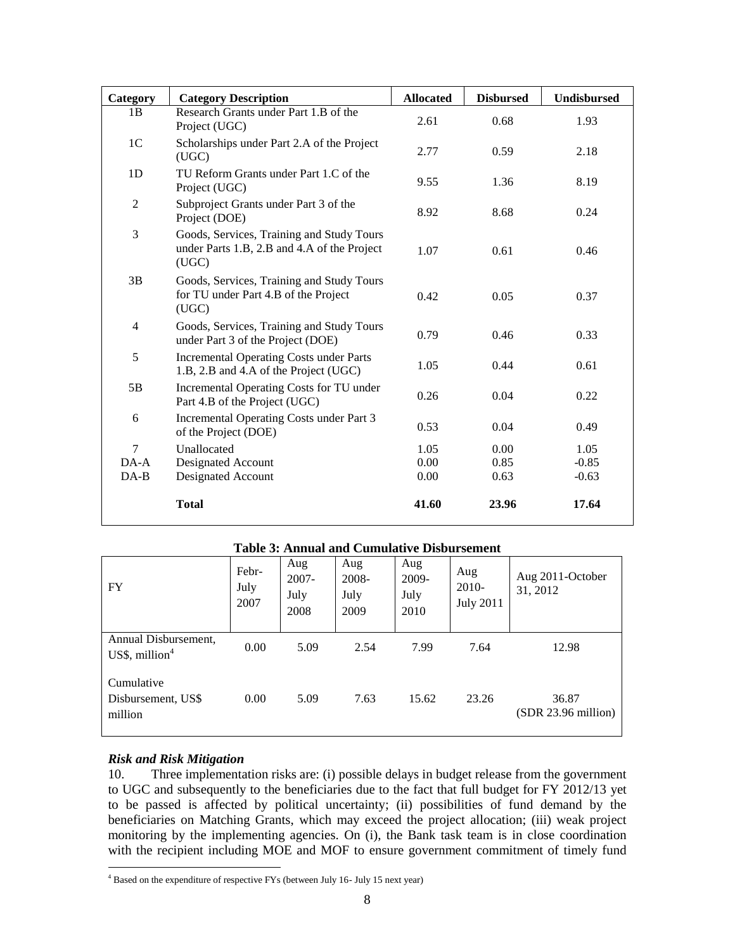| Category       | <b>Category Description</b>                                                                       | <b>Allocated</b> | <b>Disbursed</b> | <b>Undisbursed</b> |
|----------------|---------------------------------------------------------------------------------------------------|------------------|------------------|--------------------|
| 1B             | Research Grants under Part 1.B of the<br>Project (UGC)                                            | 2.61             | 0.68             | 1.93               |
| 1 <sup>C</sup> | Scholarships under Part 2.A of the Project<br>(UGC)                                               | 2.77             | 0.59             | 2.18               |
| 1D             | TU Reform Grants under Part 1.C of the<br>Project (UGC)                                           | 9.55             | 1.36             | 8.19               |
| $\overline{2}$ | Subproject Grants under Part 3 of the<br>Project (DOE)                                            | 8.92             | 8.68             | 0.24               |
| 3              | Goods, Services, Training and Study Tours<br>under Parts 1.B, 2.B and 4.A of the Project<br>(UGC) | 1.07             | 0.61             | 0.46               |
| 3B             | Goods, Services, Training and Study Tours<br>for TU under Part 4.B of the Project<br>(UGC)        | 0.42             | 0.05             | 0.37               |
| 4              | Goods, Services, Training and Study Tours<br>under Part 3 of the Project (DOE)                    | 0.79             | 0.46             | 0.33               |
| 5              | <b>Incremental Operating Costs under Parts</b><br>1.B, 2.B and 4.A of the Project (UGC)           | 1.05             | 0.44             | 0.61               |
| 5B             | Incremental Operating Costs for TU under<br>Part 4.B of the Project (UGC)                         | 0.26             | 0.04             | 0.22               |
| 6              | Incremental Operating Costs under Part 3<br>of the Project (DOE)                                  | 0.53             | 0.04             | 0.49               |
| $\tau$         | Unallocated                                                                                       | 1.05             | 0.00             | 1.05               |
| $DA-A$         | Designated Account                                                                                | 0.00             | 0.85             | $-0.85$            |
| $DA-B$         | Designated Account                                                                                | 0.00             | 0.63             | $-0.63$            |
|                | <b>Total</b>                                                                                      | 41.60            | 23.96            | 17.64              |

| <b>FY</b>                                   | Febr-<br>July<br>2007 | Aug<br>$2007 -$<br>July<br>2008 | Aug<br>2008-<br>July<br>2009 | Aug<br>2009-<br>July<br>2010 | Aug<br>$2010-$<br><b>July 2011</b> | Aug 2011-October<br>31, 2012 |
|---------------------------------------------|-----------------------|---------------------------------|------------------------------|------------------------------|------------------------------------|------------------------------|
| Annual Disbursement,<br>US\$, million $4$   | 0.00                  | 5.09                            | 2.54                         | 7.99                         | 7.64                               | 12.98                        |
| Cumulative<br>Disbursement, US\$<br>million | 0.00                  | 5.09                            | 7.63                         | 15.62                        | 23.26                              | 36.87<br>(SDR 23.96 million) |

# *Risk and Risk Mitigation*

10. Three implementation risks are: (i) possible delays in budget release from the government to UGC and subsequently to the beneficiaries due to the fact that full budget for FY 2012/13 yet to be passed is affected by political uncertainty; (ii) possibilities of fund demand by the beneficiaries on Matching Grants, which may exceed the project allocation; (iii) weak project monitoring by the implementing agencies. On (i), the Bank task team is in close coordination with the recipient including MOE and MOF to ensure government commitment of timely fund

 $\overline{a}$  $4$  Based on the expenditure of respective FYs (between July 16- July 15 next year)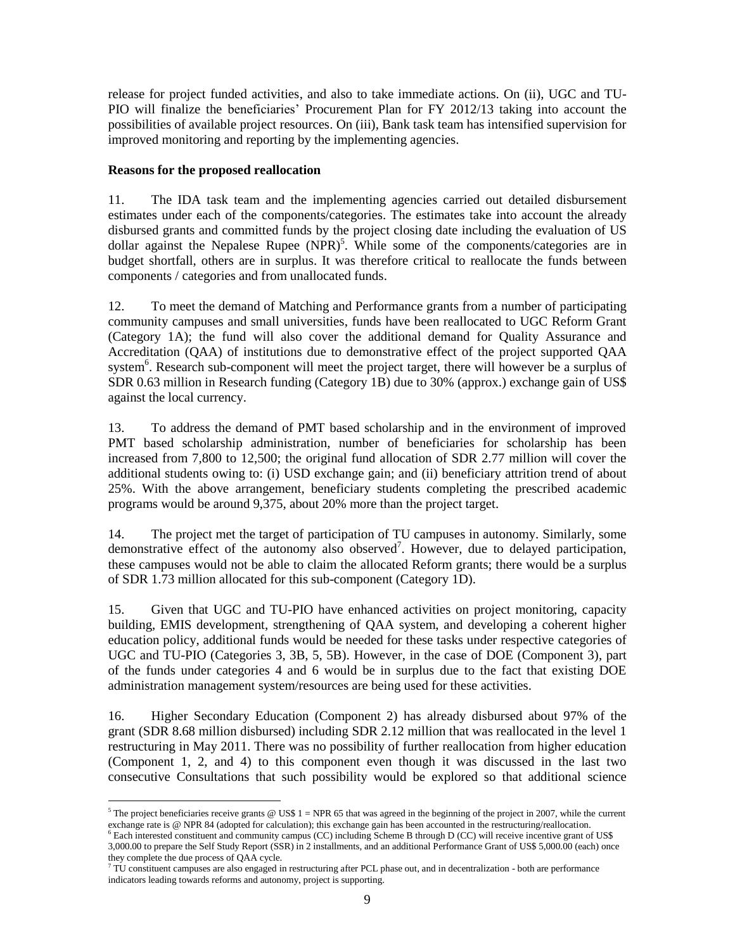release for project funded activities, and also to take immediate actions. On (ii), UGC and TU-PIO will finalize the beneficiaries' Procurement Plan for FY 2012/13 taking into account the possibilities of available project resources. On (iii), Bank task team has intensified supervision for improved monitoring and reporting by the implementing agencies.

## **Reasons for the proposed reallocation**

11. The IDA task team and the implementing agencies carried out detailed disbursement estimates under each of the components/categories. The estimates take into account the already disbursed grants and committed funds by the project closing date including the evaluation of US dollar against the Nepalese Rupee (NPR)<sup>5</sup>. While some of the components/categories are in budget shortfall, others are in surplus. It was therefore critical to reallocate the funds between components / categories and from unallocated funds.

12. To meet the demand of Matching and Performance grants from a number of participating community campuses and small universities, funds have been reallocated to UGC Reform Grant (Category 1A); the fund will also cover the additional demand for Quality Assurance and Accreditation (QAA) of institutions due to demonstrative effect of the project supported QAA system<sup>6</sup>. Research sub-component will meet the project target, there will however be a surplus of SDR 0.63 million in Research funding (Category 1B) due to 30% (approx.) exchange gain of US\$ against the local currency.

13. To address the demand of PMT based scholarship and in the environment of improved PMT based scholarship administration, number of beneficiaries for scholarship has been increased from 7,800 to 12,500; the original fund allocation of SDR 2.77 million will cover the additional students owing to: (i) USD exchange gain; and (ii) beneficiary attrition trend of about 25%. With the above arrangement, beneficiary students completing the prescribed academic programs would be around 9,375, about 20% more than the project target.

14. The project met the target of participation of TU campuses in autonomy. Similarly, some demonstrative effect of the autonomy also observed<sup>7</sup>. However, due to delayed participation, these campuses would not be able to claim the allocated Reform grants; there would be a surplus of SDR 1.73 million allocated for this sub-component (Category 1D).

15. Given that UGC and TU-PIO have enhanced activities on project monitoring, capacity building, EMIS development, strengthening of QAA system, and developing a coherent higher education policy, additional funds would be needed for these tasks under respective categories of UGC and TU-PIO (Categories 3, 3B, 5, 5B). However, in the case of DOE (Component 3), part of the funds under categories 4 and 6 would be in surplus due to the fact that existing DOE administration management system/resources are being used for these activities.

16. Higher Secondary Education (Component 2) has already disbursed about 97% of the grant (SDR 8.68 million disbursed) including SDR 2.12 million that was reallocated in the level 1 restructuring in May 2011. There was no possibility of further reallocation from higher education (Component 1, 2, and 4) to this component even though it was discussed in the last two consecutive Consultations that such possibility would be explored so that additional science

 $\overline{a}$ <sup>5</sup> The project beneficiaries receive grants  $\omega$  US\$ 1 = NPR 65 that was agreed in the beginning of the project in 2007, while the current exchange rate is @ NPR 84 (adopted for calculation); this exchange gain has been accounted in the restructuring/reallocation.

<sup>6</sup> Each interested constituent and community campus (CC) including Scheme B through D (CC) will receive incentive grant of US\$ 3,000.00 to prepare the Self Study Report (SSR) in 2 installments, and an additional Performance Grant of US\$ 5,000.00 (each) once they complete the due process of QAA cycle.

 $7$  TU constituent campuses are also engaged in restructuring after PCL phase out, and in decentralization - both are performance indicators leading towards reforms and autonomy, project is supporting.